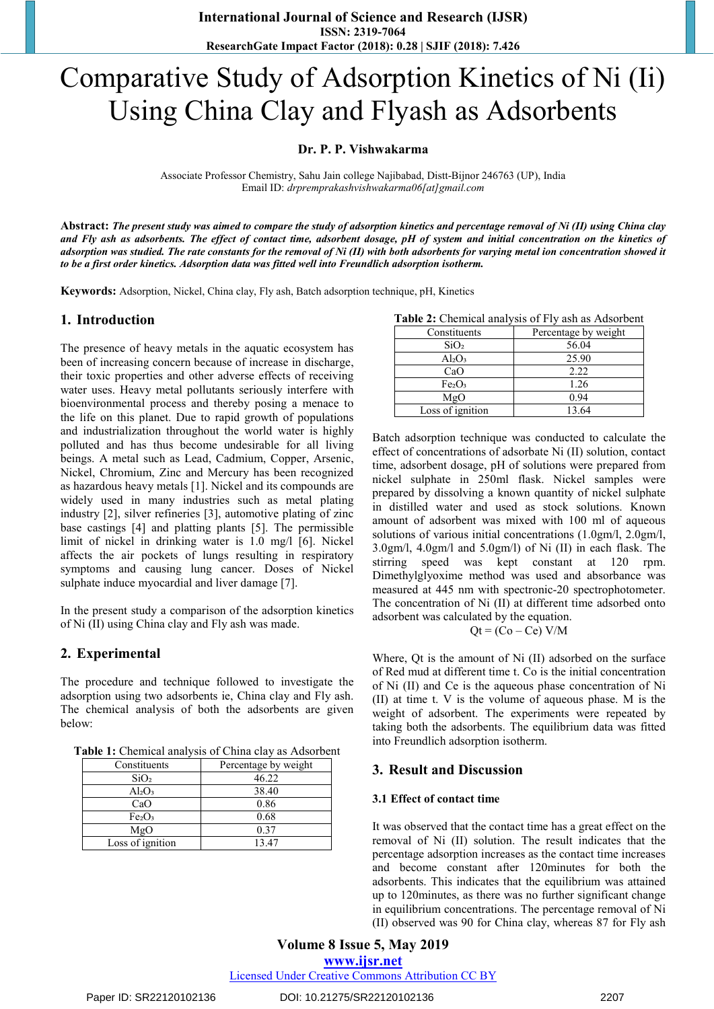# Comparative Study of Adsorption Kinetics of Ni (Ii) Using China Clay and Flyash as Adsorbents

# **Dr. P. P. Vishwakarma**

Associate Professor Chemistry, Sahu Jain college Najibabad, Distt-Bijnor 246763 (UP), India Email ID: *drpremprakashvishwakarma06[at]gmail.com*

**Abstract:** *The present study was aimed to compare the study of adsorption kinetics and percentage removal of Ni (II) using China clay and Fly ash as adsorbents. The effect of contact time, adsorbent dosage, pH of system and initial concentration on the kinetics of adsorption was studied. The rate constants for the removal of Ni (II) with both adsorbents for varying metal ion concentration showed it to be a first order kinetics. Adsorption data was fitted well into Freundlich adsorption isotherm.*

**Keywords:** Adsorption, Nickel, China clay, Fly ash, Batch adsorption technique, pH, Kinetics

# **1. Introduction**

The presence of heavy metals in the aquatic ecosystem has been of increasing concern because of increase in discharge, their toxic properties and other adverse effects of receiving water uses. Heavy metal pollutants seriously interfere with bioenvironmental process and thereby posing a menace to the life on this planet. Due to rapid growth of populations and industrialization throughout the world water is highly polluted and has thus become undesirable for all living beings. A metal such as Lead, Cadmium, Copper, Arsenic, Nickel, Chromium, Zinc and Mercury has been recognized as hazardous heavy metals [1]. Nickel and its compounds are widely used in many industries such as metal plating industry [2], silver refineries [3], automotive plating of zinc base castings [4] and platting plants [5]. The permissible limit of nickel in drinking water is 1.0 mg/l [6]. Nickel affects the air pockets of lungs resulting in respiratory symptoms and causing lung cancer. Doses of Nickel sulphate induce myocardial and liver damage [7].

In the present study a comparison of the adsorption kinetics of Ni (II) using China clay and Fly ash was made.

# **2. Experimental**

The procedure and technique followed to investigate the adsorption using two adsorbents ie, China clay and Fly ash. The chemical analysis of both the adsorbents are given below:

**Table 1:** Chemical analysis of China clay as Adsorbent

| Constituents                   | Percentage by weight |
|--------------------------------|----------------------|
| SiO <sub>2</sub>               | 46.22                |
| $Al_2O_3$                      | 38.40                |
| CaO                            | 0.86                 |
| Fe <sub>2</sub> O <sub>3</sub> | 0.68                 |
| MgO                            | 0.37                 |
| Loss of ignition               | 1347                 |

|  | Table 2: Chemical analysis of Fly ash as Adsorbent |
|--|----------------------------------------------------|
|--|----------------------------------------------------|

| Constituents                   | Percentage by weight |
|--------------------------------|----------------------|
| SiO <sub>2</sub>               | 56.04                |
| $Al_2O_3$                      | 25.90                |
| CaO                            | 2.22                 |
| Fe <sub>2</sub> O <sub>3</sub> | 1.26                 |
| MgO                            | 0.94                 |
| Loss of ignition               | 13.64                |

Batch adsorption technique was conducted to calculate the effect of concentrations of adsorbate Ni (II) solution, contact time, adsorbent dosage, pH of solutions were prepared from nickel sulphate in 250ml flask. Nickel samples were prepared by dissolving a known quantity of nickel sulphate in distilled water and used as stock solutions. Known amount of adsorbent was mixed with 100 ml of aqueous solutions of various initial concentrations (1.0gm/l, 2.0gm/l, 3.0gm/l, 4.0gm/l and 5.0gm/l) of Ni (II) in each flask. The stirring speed was kept constant at 120 rpm. Dimethylglyoxime method was used and absorbance was measured at 445 nm with spectronic-20 spectrophotometer. The concentration of Ni (II) at different time adsorbed onto adsorbent was calculated by the equation.

$$
Qt = (Co - Ce) V/M
$$

Where, Qt is the amount of Ni (II) adsorbed on the surface of Red mud at different time t. Co is the initial concentration of Ni (II) and Ce is the aqueous phase concentration of Ni (II) at time t. V is the volume of aqueous phase. M is the weight of adsorbent. The experiments were repeated by taking both the adsorbents. The equilibrium data was fitted into Freundlich adsorption isotherm.

# **3. Result and Discussion**

#### **3.1 Effect of contact time**

It was observed that the contact time has a great effect on the removal of Ni (II) solution. The result indicates that the percentage adsorption increases as the contact time increases and become constant after 120minutes for both the adsorbents. This indicates that the equilibrium was attained up to 120minutes, as there was no further significant change in equilibrium concentrations. The percentage removal of Ni (II) observed was 90 for China clay, whereas 87 for Fly ash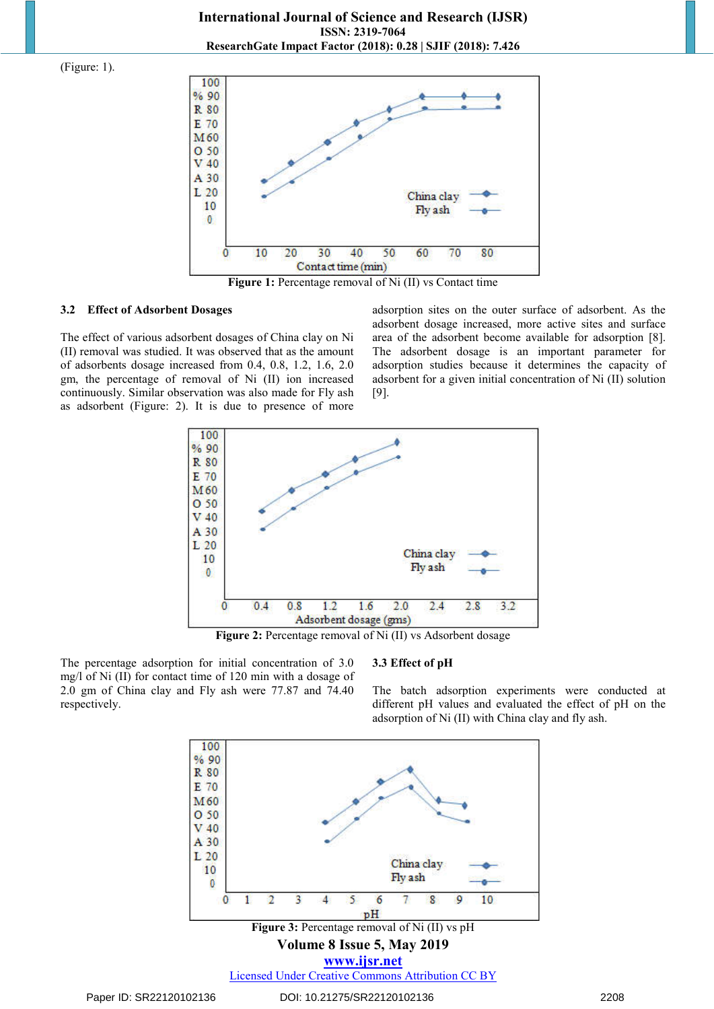**International Journal of Science and Research (IJSR) ISSN: 2319-7064 ResearchGate Impact Factor (2018): 0.28 | SJIF (2018): 7.426**

(Figure: 1).



**Figure 1:** Percentage removal of Ni (II) vs Contact time

#### **3.2 Effect of Adsorbent Dosages**

The effect of various adsorbent dosages of China clay on Ni (II) removal was studied. It was observed that as the amount of adsorbents dosage increased from 0.4, 0.8, 1.2, 1.6, 2.0 gm, the percentage of removal of Ni (II) ion increased continuously. Similar observation was also made for Fly ash as adsorbent (Figure: 2). It is due to presence of more

adsorption sites on the outer surface of adsorbent. As the adsorbent dosage increased, more active sites and surface area of the adsorbent become available for adsorption [8]. The adsorbent dosage is an important parameter for adsorption studies because it determines the capacity of adsorbent for a given initial concentration of Ni (II) solution [9].



**Figure 2:** Percentage removal of Ni (II) vs Adsorbent dosage

The percentage adsorption for initial concentration of 3.0 mg/l of Ni (II) for contact time of 120 min with a dosage of 2.0 gm of China clay and Fly ash were 77.87 and 74.40 respectively.

# **3.3 Effect of pH**

The batch adsorption experiments were conducted at different pH values and evaluated the effect of pH on the adsorption of Ni (II) with China clay and fly ash.

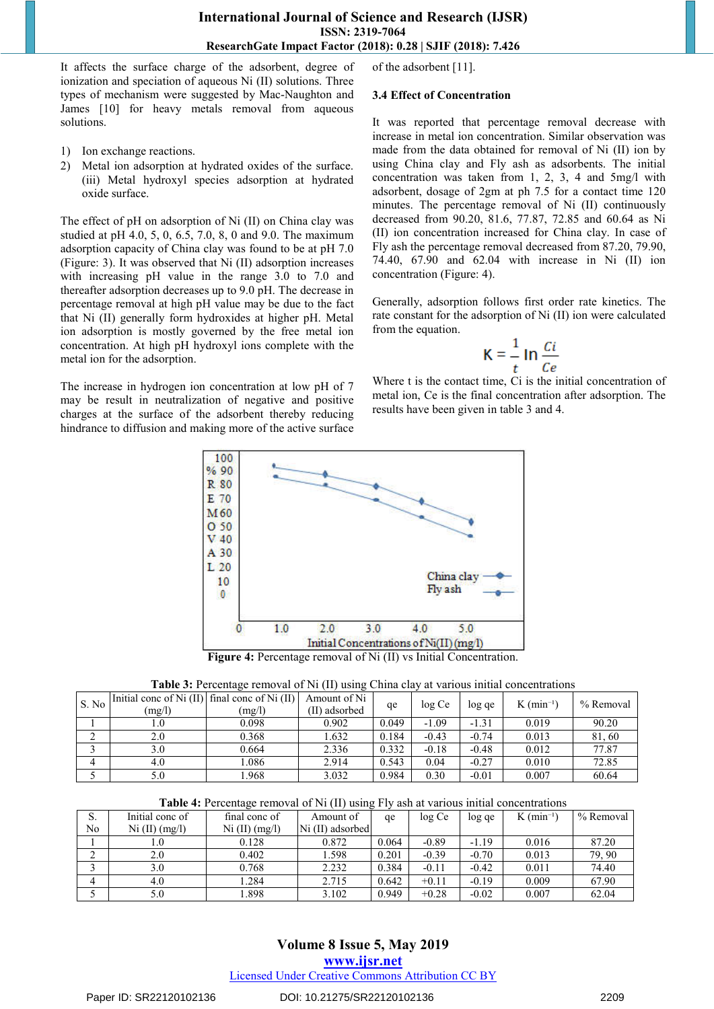## **International Journal of Science and Research (IJSR) ISSN: 2319-7064 ResearchGate Impact Factor (2018): 0.28 | SJIF (2018): 7.426**

It affects the surface charge of the adsorbent, degree of ionization and speciation of aqueous Ni (II) solutions. Three types of mechanism were suggested by Mac-Naughton and James [10] for heavy metals removal from aqueous solutions.

- 1) Ion exchange reactions.
- 2) Metal ion adsorption at hydrated oxides of the surface. (iii) Metal hydroxyl species adsorption at hydrated oxide surface.

The effect of pH on adsorption of Ni (II) on China clay was studied at pH 4.0, 5, 0, 6.5, 7.0, 8, 0 and 9.0. The maximum adsorption capacity of China clay was found to be at pH 7.0 (Figure: 3). It was observed that Ni (II) adsorption increases with increasing pH value in the range 3.0 to 7.0 and thereafter adsorption decreases up to 9.0 pH. The decrease in percentage removal at high pH value may be due to the fact that Ni (II) generally form hydroxides at higher pH. Metal ion adsorption is mostly governed by the free metal ion concentration. At high pH hydroxyl ions complete with the metal ion for the adsorption.

The increase in hydrogen ion concentration at low pH of 7 may be result in neutralization of negative and positive charges at the surface of the adsorbent thereby reducing hindrance to diffusion and making more of the active surface of the adsorbent [11].

#### **3.4 Effect of Concentration**

It was reported that percentage removal decrease with increase in metal ion concentration. Similar observation was made from the data obtained for removal of Ni (II) ion by using China clay and Fly ash as adsorbents. The initial concentration was taken from 1, 2, 3, 4 and 5mg/l with adsorbent, dosage of 2gm at ph 7.5 for a contact time 120 minutes. The percentage removal of Ni (II) continuously decreased from 90.20, 81.6, 77.87, 72.85 and 60.64 as Ni (II) ion concentration increased for China clay. In case of Fly ash the percentage removal decreased from 87.20, 79.90, 74.40, 67.90 and 62.04 with increase in Ni (II) ion concentration (Figure: 4).

Generally, adsorption follows first order rate kinetics. The rate constant for the adsorption of Ni (II) ion were calculated from the equation.

$$
K = \frac{1}{t} \ln \frac{C i}{C e}
$$

Where t is the contact time, Ci is the initial concentration of metal ion, Ce is the final concentration after adsorption. The results have been given in table 3 and 4.



**Figure 4:** Percentage removal of Ni (II) vs Initial Concentration.

| Table 3: Percentage removal of Ni (II) using China clay at various initial concentrations |  |  |  |  |
|-------------------------------------------------------------------------------------------|--|--|--|--|
|-------------------------------------------------------------------------------------------|--|--|--|--|

| S. No | Initial conc of Ni $(II)$ final conc of Ni $(II)$<br>(mg/l) | (mg/l) | Amount of Ni<br>(II) adsorbed | qe    | log Ce  | log ge  | $K$ (min <sup>-1</sup> ) | % Removal |
|-------|-------------------------------------------------------------|--------|-------------------------------|-------|---------|---------|--------------------------|-----------|
|       | 1.0                                                         | 0.098  | 0.902                         | 0.049 | $-1.09$ | $-1.31$ | 0.019                    | 90.20     |
|       | 2.0                                                         | 0.368  | 1.632                         | 0.184 | $-0.43$ | $-0.74$ | 0.013                    | 81,60     |
|       | 3.0                                                         | 0.664  | 2.336                         | 0.332 | $-0.18$ | $-0.48$ | 0.012                    | 77.87     |
|       | 4.0                                                         | .086   | 2.914                         | 0.543 | 0.04    | $-0.27$ | 0.010                    | 72.85     |
|       | 5.0                                                         | .968   | 3.032                         | 0.984 | 0.30    | $-0.01$ | 0.007                    | 60.64     |

| S.     | Initial conc of | final conc of  | Amount of        | qe    | log Ce  | log qe  | $K$ (min <sup>-1</sup> ) | % Removal |
|--------|-----------------|----------------|------------------|-------|---------|---------|--------------------------|-----------|
| No     | Ni (II) (mg/l)  | Ni (II) (mg/l) | Ni (II) adsorbed |       |         |         |                          |           |
|        | 1.0             | 0.128          | 0.872            | 0.064 | $-0.89$ | $-1.19$ | 0.016                    | 87.20     |
| ⌒<br>∽ | 2.0             | 0.402          | 1.598            | 0.201 | $-0.39$ | $-0.70$ | 0.013                    | 79.90     |
|        | 3.0             | 0.768          | 2.232            | 0.384 | $-0.11$ | $-0.42$ | 0.011                    | 74.40     |
|        | 4.0             | .284           | 2.715            | 0.642 | $+0.11$ | $-0.19$ | 0.009                    | 67.90     |
|        | 5.0             | .898           | 3.102            | 0.949 | $+0.28$ | $-0.02$ | 0.007                    | 62.04     |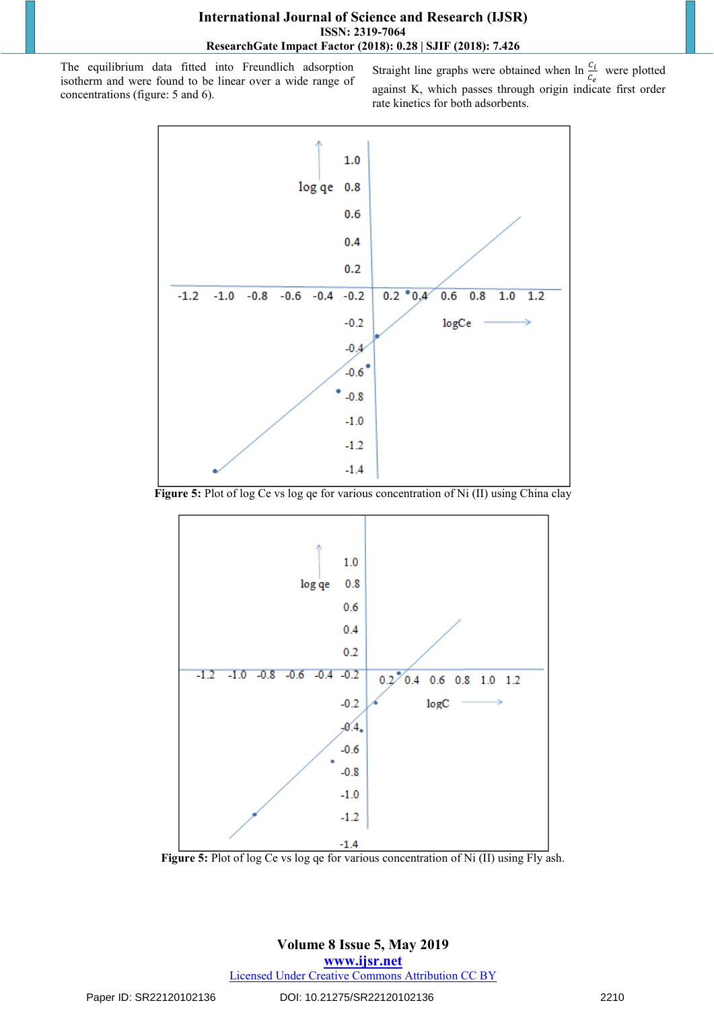The equilibrium data fitted into Freundlich adsorption isotherm and were found to be linear over a wide range of concentrations (figure: 5 and 6).

Straight line graphs were obtained when  $\ln \frac{c_i}{c_e}$  were plotted against K, which passes through origin indicate first order rate kinetics for both adsorbents.



**Figure 5:** Plot of log Ce vs log qe for various concentration of Ni (II) using China clay



**Figure 5:** Plot of log Ce vs log qe for various concentration of Ni (II) using Fly ash.

**Volume 8 Issue 5, May 2019 www.ijsr.net** Licensed Under Creative Commons Attribution CC BY